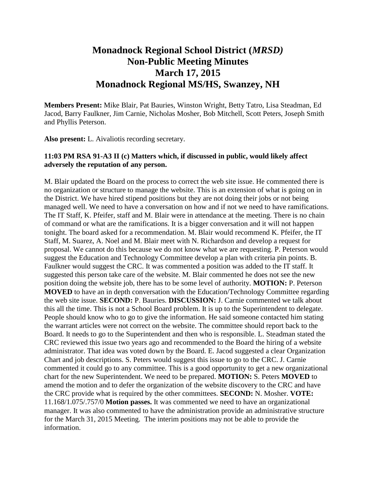## **Monadnock Regional School District (***MRSD)* **Non-Public Meeting Minutes March 17, 2015 Monadnock Regional MS/HS, Swanzey, NH**

**Members Present:** Mike Blair, Pat Bauries, Winston Wright, Betty Tatro, Lisa Steadman, Ed Jacod, Barry Faulkner, Jim Carnie, Nicholas Mosher, Bob Mitchell, Scott Peters, Joseph Smith and Phyllis Peterson.

**Also present:** L. Aivaliotis recording secretary.

## **11:03 PM RSA 91-A3 II (c) Matters which, if discussed in public, would likely affect adversely the reputation of any person.**

M. Blair updated the Board on the process to correct the web site issue. He commented there is no organization or structure to manage the website. This is an extension of what is going on in the District. We have hired stipend positions but they are not doing their jobs or not being managed well. We need to have a conversation on how and if not we need to have ramifications. The IT Staff, K. Pfeifer, staff and M. Blair were in attendance at the meeting. There is no chain of command or what are the ramifications. It is a bigger conversation and it will not happen tonight. The board asked for a recommendation. M. Blair would recommend K. Pfeifer, the IT Staff, M. Suarez, A. Noel and M. Blair meet with N. Richardson and develop a request for proposal. We cannot do this because we do not know what we are requesting. P. Peterson would suggest the Education and Technology Committee develop a plan with criteria pin points. B. Faulkner would suggest the CRC. It was commented a position was added to the IT staff. It suggested this person take care of the website. M. Blair commented he does not see the new position doing the website job, there has to be some level of authority. **MOTION:** P. Peterson **MOVED** to have an in depth conversation with the Education/Technology Committee regarding the web site issue. **SECOND:** P. Bauries. **DISCUSSION:** J. Carnie commented we talk about this all the time. This is not a School Board problem. It is up to the Superintendent to delegate. People should know who to go to give the information. He said someone contacted him stating the warrant articles were not correct on the website. The committee should report back to the Board. It needs to go to the Superintendent and then who is responsible. L. Steadman stated the CRC reviewed this issue two years ago and recommended to the Board the hiring of a website administrator. That idea was voted down by the Board. E. Jacod suggested a clear Organization Chart and job descriptions. S. Peters would suggest this issue to go to the CRC. J. Carnie commented it could go to any committee. This is a good opportunity to get a new organizational chart for the new Superintendent. We need to be prepared. **MOTION:** S. Peters **MOVED** to amend the motion and to defer the organization of the website discovery to the CRC and have the CRC provide what is required by the other committees. **SECOND:** N. Mosher. **VOTE:**  11.168/1.075/.757/0 **Motion passes.** It was commented we need to have an organizational manager. It was also commented to have the administration provide an administrative structure for the March 31, 2015 Meeting. The interim positions may not be able to provide the information.